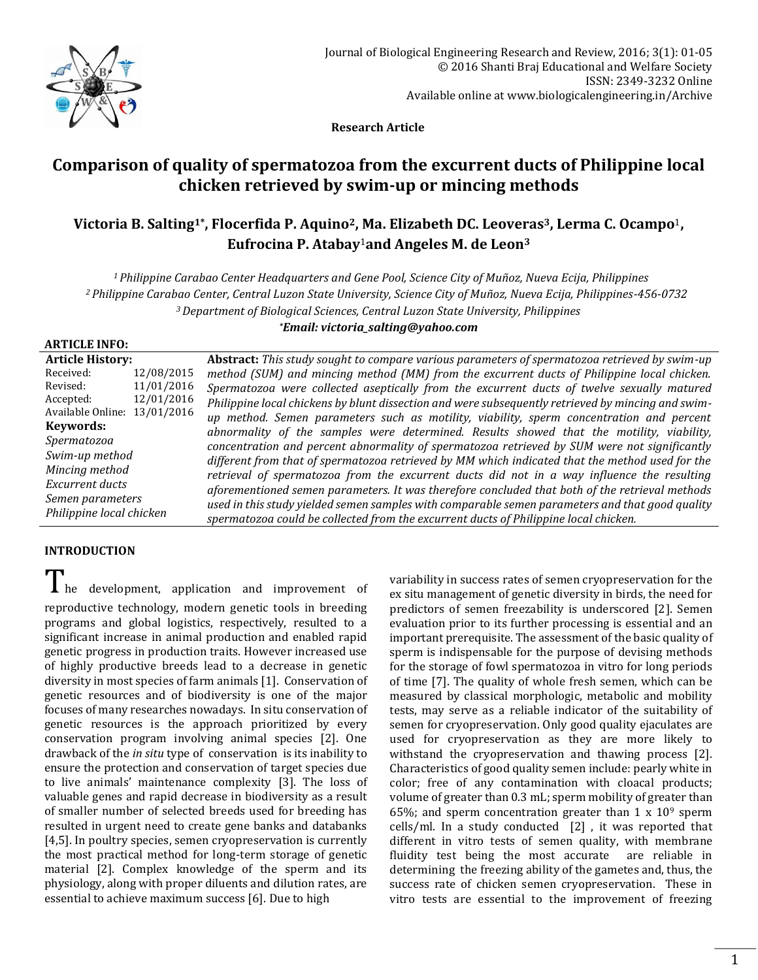

 **Research Article**

# **Comparison of quality of spermatozoa from the excurrent ducts of Philippine local chicken retrieved by swim-up or mincing methods**

# **Victoria B. Salting1\* , Flocerfida P. Aquino2, Ma. Elizabeth DC. Leoveras3, Lerma C. Ocampo**1**, Eufrocina P. Atabay**1**and Angeles M. de Leon<sup>3</sup>**

*<sup>1</sup>Philippine Carabao Center Headquarters and Gene Pool, Science City of Muñoz, Nueva Ecija, Philippines <sup>2</sup>Philippine Carabao Center, Central Luzon State University, Science City of Muñoz, Nueva Ecija, Philippines-456-0732 <sup>3</sup>Department of Biological Sciences, Central Luzon State University, Philippines*

*\*Email: victoria\_salting@yahoo.com*

# **ARTICLE INFO:**

| <b>Article History:</b>                                         |            | Abstract: This study sought to compare various parameters of spermatozoa retrieved by swim-up      |
|-----------------------------------------------------------------|------------|----------------------------------------------------------------------------------------------------|
| Received:                                                       | 12/08/2015 | method (SUM) and mincing method (MM) from the excurrent ducts of Philippine local chicken.         |
| Revised:                                                        | 11/01/2016 | Spermatozoa were collected aseptically from the excurrent ducts of twelve sexually matured         |
| Accepted:                                                       | 12/01/2016 | Philippine local chickens by blunt dissection and were subsequently retrieved by mincing and swim- |
| Available Online: 13/01/2016                                    |            | up method. Semen parameters such as motility, viability, sperm concentration and percent           |
| Keywords:                                                       |            | abnormality of the samples were determined. Results showed that the motility, viability,           |
| Spermatozoa                                                     |            | concentration and percent abnormality of spermatozoa retrieved by SUM were not significantly       |
| Swim-up method                                                  |            | different from that of spermatozoa retrieved by MM which indicated that the method used for the    |
| Mincing method                                                  |            | retrieval of spermatozoa from the excurrent ducts did not in a way influence the resulting         |
| Excurrent ducts<br>Semen parameters<br>Philippine local chicken |            |                                                                                                    |
|                                                                 |            | aforementioned semen parameters. It was therefore concluded that both of the retrieval methods     |
|                                                                 |            | used in this study yielded semen samples with comparable semen parameters and that good quality    |
|                                                                 |            | spermatozoa could be collected from the excurrent ducts of Philippine local chicken.               |

# **INTRODUCTION**

# I he development, application and improvement of

reproductive technology, modern genetic tools in breeding programs and global logistics, respectively, resulted to a significant increase in animal production and enabled rapid genetic progress in production traits. However increased use of highly productive breeds lead to a decrease in genetic diversity in most species of farm animals [1]. Conservation of genetic resources and of biodiversity is one of the major focuses of many researches nowadays. In situ conservation of genetic resources is the approach prioritized by every conservation program involving animal species [2]. One drawback of the *in situ* type of conservation is its inability to ensure the protection and conservation of target species due to live animals' maintenance complexity [3]. The loss of valuable genes and rapid decrease in biodiversity as a result of smaller number of selected breeds used for breeding has resulted in urgent need to create gene banks and databanks [4,5]. In poultry species, semen cryopreservation is currently the most practical method for long-term storage of genetic material [2]. Complex knowledge of the sperm and its physiology, along with proper diluents and dilution rates, are essential to achieve maximum success [6]. Due to high

variability in success rates of semen cryopreservation for the ex situ management of genetic diversity in birds, the need for predictors of semen freezability is underscored [2]. Semen evaluation prior to its further processing is essential and an important prerequisite. The assessment of the basic quality of sperm is indispensable for the purpose of devising methods for the storage of fowl spermatozoa in vitro for long periods of time [7]. The quality of whole fresh semen, which can be measured by classical morphologic, metabolic and mobility tests, may serve as a reliable indicator of the suitability of semen for cryopreservation. Only good quality ejaculates are used for cryopreservation as they are more likely to withstand the cryopreservation and thawing process [2]. Characteristics of good quality semen include: pearly white in color; free of any contamination with cloacal products; volume of greater than 0.3 mL; sperm mobility of greater than 65%; and sperm concentration greater than  $1 \times 10^9$  sperm cells/ml. In a study conducted [2] , it was reported that different in vitro tests of semen quality, with membrane fluidity test being the most accurate are reliable in determining the freezing ability of the gametes and, thus, the success rate of chicken semen cryopreservation. These in vitro tests are essential to the improvement of freezing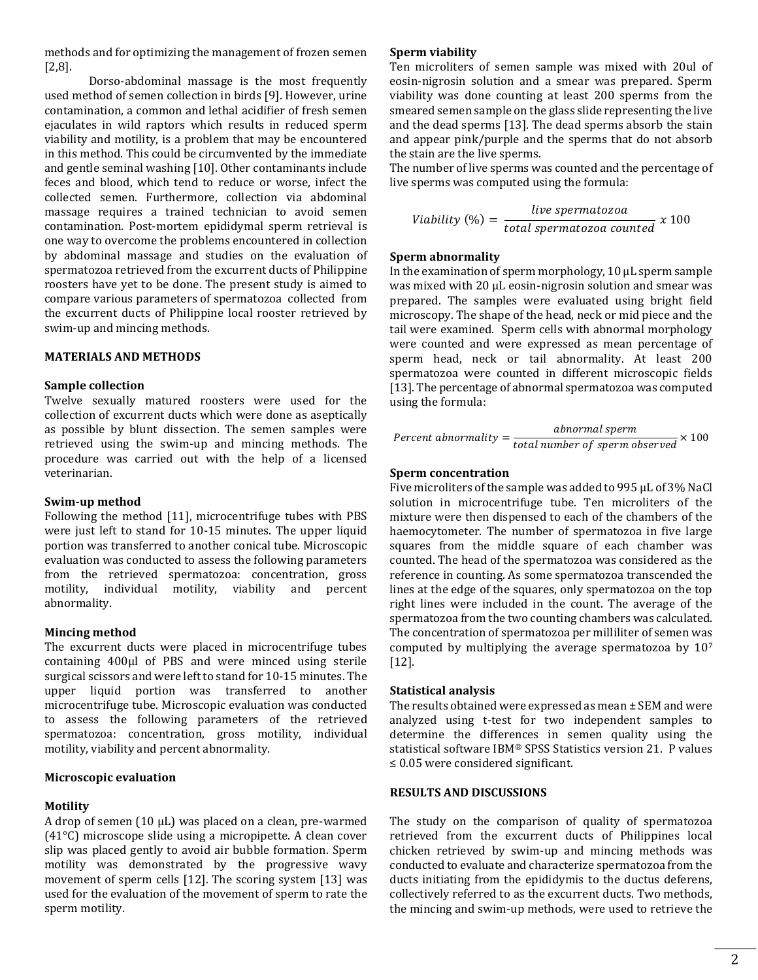methods and for optimizing the management of frozen semen [2,8].

Dorso-abdominal massage is the most frequently used method of semen collection in birds [9]. However, urine contamination, a common and lethal acidifier of fresh semen ejaculates in wild raptors which results in reduced sperm viability and motility, is a problem that may be encountered in this method. This could be circumvented by the immediate and gentle seminal washing [10]. Other contaminants include feces and blood, which tend to reduce or worse, infect the collected semen. Furthermore, collection via abdominal massage requires a trained technician to avoid semen contamination. Post-mortem epididymal sperm retrieval is one way to overcome the problems encountered in collection by abdominal massage and studies on the evaluation of spermatozoa retrieved from the excurrent ducts of Philippine roosters have yet to be done. The present study is aimed to compare various parameters of spermatozoa collected from the excurrent ducts of Philippine local rooster retrieved by swim-up and mincing methods.

## **MATERIALS AND METHODS**

#### **Sample collection**

Twelve sexually matured roosters were used for the collection of excurrent ducts which were done as aseptically as possible by blunt dissection. The semen samples were retrieved using the swim-up and mincing methods. The procedure was carried out with the help of a licensed veterinarian.

#### **Swim-up method**

Following the method [11], microcentrifuge tubes with PBS were just left to stand for 10-15 minutes. The upper liquid portion was transferred to another conical tube. Microscopic evaluation was conducted to assess the following parameters from the retrieved spermatozoa: concentration, gross motility, individual motility, viability and percent abnormality.

# **Mincing method**

The excurrent ducts were placed in microcentrifuge tubes containing 400µl of PBS and were minced using sterile surgical scissors and were left to stand for 10-15 minutes. The upper liquid portion was transferred to another microcentrifuge tube. Microscopic evaluation was conducted to assess the following parameters of the retrieved spermatozoa: concentration, gross motility, individual motility, viability and percent abnormality.

# **Microscopic evaluation**

#### **Motility**

A drop of semen  $(10 \mu L)$  was placed on a clean, pre-warmed (41°C) microscope slide using a micropipette. A clean cover slip was placed gently to avoid air bubble formation. Sperm motility was demonstrated by the progressive wavy movement of sperm cells [12]. The scoring system [13] was used for the evaluation of the movement of sperm to rate the sperm motility.

#### **Sperm viability**

Ten microliters of semen sample was mixed with 20ul of eosin-nigrosin solution and a smear was prepared. Sperm viability was done counting at least 200 sperms from the smeared semen sample on the glass slide representing the live and the dead sperms [13]. The dead sperms absorb the stain and appear pink/purple and the sperms that do not absorb the stain are the live sperms.

The number of live sperms was counted and the percentage of live sperms was computed using the formula:

$$
Viability (%) = \frac{live\ spermatozoa}{total\ spermatozoa\ counted} x 100
$$

#### **Sperm abnormality**

In the examination of sperm morphology, 10 µL sperm sample was mixed with 20 µL eosin-nigrosin solution and smear was prepared. The samples were evaluated using bright field microscopy. The shape of the head, neck or mid piece and the tail were examined. Sperm cells with abnormal morphology were counted and were expressed as mean percentage of sperm head, neck or tail abnormality. At least 200 spermatozoa were counted in different microscopic fields [13]. The percentage of abnormal spermatozoa was computed using the formula:

$$
Percent\;abnormal\;y = \frac{abnormal\;sperm}{total\;number\;of\;sperm\;observed} \times 100
$$

#### **Sperm concentration**

Five microliters of the sample was added to 995 µL of 3% NaCl solution in microcentrifuge tube. Ten microliters of the mixture were then dispensed to each of the chambers of the haemocytometer. The number of spermatozoa in five large squares from the middle square of each chamber was counted. The head of the spermatozoa was considered as the reference in counting. As some spermatozoa transcended the lines at the edge of the squares, only spermatozoa on the top right lines were included in the count. The average of the spermatozoa from the two counting chambers was calculated. The concentration of spermatozoa per milliliter of semen was computed by multiplying the average spermatozoa by 10<sup>7</sup> [12].

#### **Statistical analysis**

The results obtained were expressed as mean ± SEM and were analyzed using t-test for two independent samples to determine the differences in semen quality using the statistical software IBM® SPSS Statistics version 21. P values ≤ 0.05 were considered significant.

#### **RESULTS AND DISCUSSIONS**

The study on the comparison of quality of spermatozoa retrieved from the excurrent ducts of Philippines local chicken retrieved by swim-up and mincing methods was conducted to evaluate and characterize spermatozoa from the ducts initiating from the epididymis to the ductus deferens, collectively referred to as the excurrent ducts. Two methods, the mincing and swim-up methods, were used to retrieve the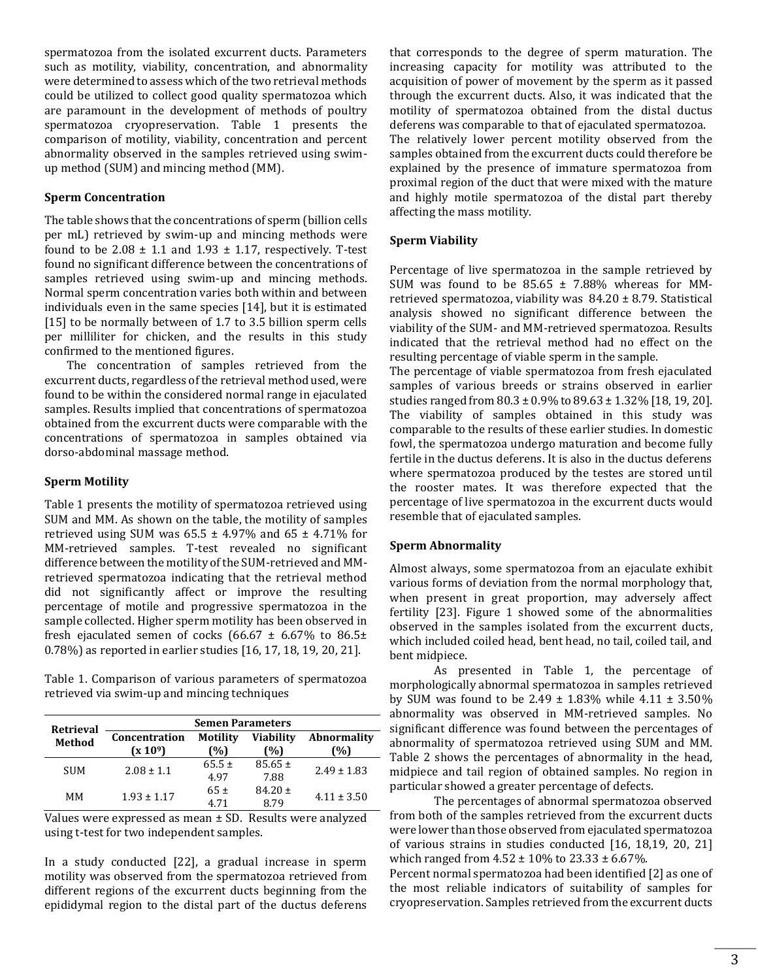spermatozoa from the isolated excurrent ducts. Parameters such as motility, viability, concentration, and abnormality were determined to assess which of the two retrieval methods could be utilized to collect good quality spermatozoa which are paramount in the development of methods of poultry spermatozoa cryopreservation. Table 1 presents the comparison of motility, viability, concentration and percent abnormality observed in the samples retrieved using swimup method (SUM) and mincing method (MM).

# **Sperm Concentration**

The table shows that the concentrations of sperm (billion cells per mL) retrieved by swim-up and mincing methods were found to be  $2.08 \pm 1.1$  and  $1.93 \pm 1.17$ , respectively. T-test found no significant difference between the concentrations of samples retrieved using swim-up and mincing methods. Normal sperm concentration varies both within and between individuals even in the same species [14], but it is estimated [15] to be normally between of 1.7 to 3.5 billion sperm cells per milliliter for chicken, and the results in this study confirmed to the mentioned figures.

The concentration of samples retrieved from the excurrent ducts, regardless of the retrieval method used, were found to be within the considered normal range in ejaculated samples. Results implied that concentrations of spermatozoa obtained from the excurrent ducts were comparable with the concentrations of spermatozoa in samples obtained via dorso-abdominal massage method.

#### **Sperm Motility**

Table 1 presents the motility of spermatozoa retrieved using SUM and MM. As shown on the table, the motility of samples retrieved using SUM was  $65.5 \pm 4.97\%$  and  $65 \pm 4.71\%$  for MM-retrieved samples. T-test revealed no significant difference between the motility of the SUM-retrieved and MMretrieved spermatozoa indicating that the retrieval method did not significantly affect or improve the resulting percentage of motile and progressive spermatozoa in the sample collected. Higher sperm motility has been observed in fresh ejaculated semen of cocks (66.67  $\pm$  6.67% to 86.5 $\pm$ 0.78%) as reported in earlier studies [16, 17, 18, 19, 20, 21].

Table 1. Comparison of various parameters of spermatozoa retrieved via swim-up and mincing techniques

| Retrieval  | <b>Semen Parameters</b> |                    |                                     |                          |  |
|------------|-------------------------|--------------------|-------------------------------------|--------------------------|--|
| Method     | Concentration<br>(x 109 | Motility<br>'%)    | <b>Viability</b><br><sup>0%</sup> ) | <b>Abnormality</b><br>%) |  |
| <b>SUM</b> | $2.08 \pm 1.1$          | $65.5 \pm$<br>4.97 | $85.65 \pm$<br>7.88                 | $2.49 \pm 1.83$          |  |
| ΜМ         | $1.93 \pm 1.17$         | $65+$<br>4 71      | $84.20 \pm$<br>8 79                 | $4.11 \pm 3.50$          |  |

Values were expressed as mean ± SD. Results were analyzed using t-test for two independent samples.

In a study conducted [22], a gradual increase in sperm motility was observed from the spermatozoa retrieved from different regions of the excurrent ducts beginning from the epididymal region to the distal part of the ductus deferens that corresponds to the degree of sperm maturation. The increasing capacity for motility was attributed to the acquisition of power of movement by the sperm as it passed through the excurrent ducts. Also, it was indicated that the motility of spermatozoa obtained from the distal ductus deferens was comparable to that of ejaculated spermatozoa. The relatively lower percent motility observed from the samples obtained from the excurrent ducts could therefore be explained by the presence of immature spermatozoa from proximal region of the duct that were mixed with the mature and highly motile spermatozoa of the distal part thereby affecting the mass motility.

#### **Sperm Viability**

Percentage of live spermatozoa in the sample retrieved by SUM was found to be  $85.65 \pm 7.88\%$  whereas for MMretrieved spermatozoa, viability was 84.20 ± 8.79. Statistical analysis showed no significant difference between the viability of the SUM- and MM-retrieved spermatozoa. Results indicated that the retrieval method had no effect on the resulting percentage of viable sperm in the sample.

The percentage of viable spermatozoa from fresh ejaculated samples of various breeds or strains observed in earlier studies ranged from 80.3 ± 0.9% to 89.63 ± 1.32% [18, 19, 20]. The viability of samples obtained in this study was comparable to the results of these earlier studies. In domestic fowl, the spermatozoa undergo maturation and become fully fertile in the ductus deferens. It is also in the ductus deferens where spermatozoa produced by the testes are stored until the rooster mates. It was therefore expected that the percentage of live spermatozoa in the excurrent ducts would resemble that of ejaculated samples.

#### **Sperm Abnormality**

Almost always, some spermatozoa from an ejaculate exhibit various forms of deviation from the normal morphology that, when present in great proportion, may adversely affect fertility [23]. Figure 1 showed some of the abnormalities observed in the samples isolated from the excurrent ducts, which included coiled head, bent head, no tail, coiled tail, and bent midpiece.

As presented in Table 1, the percentage of morphologically abnormal spermatozoa in samples retrieved by SUM was found to be  $2.49 \pm 1.83\%$  while  $4.11 \pm 3.50\%$ abnormality was observed in MM-retrieved samples. No significant difference was found between the percentages of abnormality of spermatozoa retrieved using SUM and MM. Table 2 shows the percentages of abnormality in the head, midpiece and tail region of obtained samples. No region in particular showed a greater percentage of defects.

The percentages of abnormal spermatozoa observed from both of the samples retrieved from the excurrent ducts were lower than those observed from ejaculated spermatozoa of various strains in studies conducted [16, 18,19, 20, 21] which ranged from  $4.52 \pm 10\%$  to  $23.33 \pm 6.67\%$ .

Percent normal spermatozoa had been identified [2] as one of the most reliable indicators of suitability of samples for cryopreservation. Samples retrieved from the excurrent ducts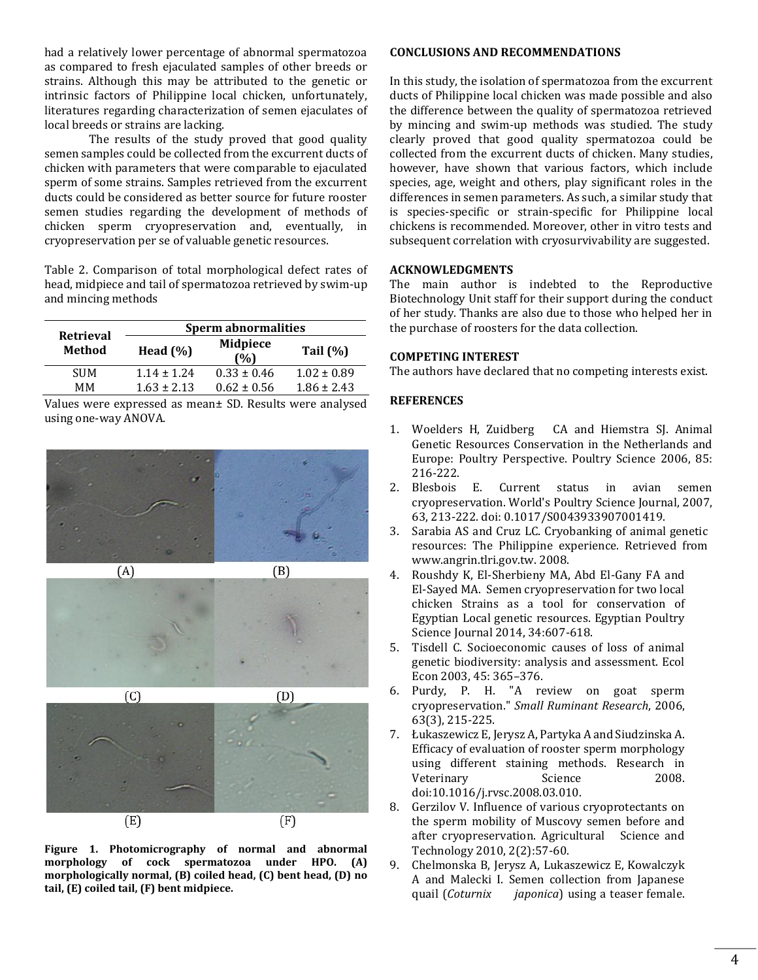had a relatively lower percentage of abnormal spermatozoa as compared to fresh ejaculated samples of other breeds or strains. Although this may be attributed to the genetic or intrinsic factors of Philippine local chicken, unfortunately, literatures regarding characterization of semen ejaculates of local breeds or strains are lacking.

The results of the study proved that good quality semen samples could be collected from the excurrent ducts of chicken with parameters that were comparable to ejaculated sperm of some strains. Samples retrieved from the excurrent ducts could be considered as better source for future rooster semen studies regarding the development of methods of chicken sperm cryopreservation and, eventually, in cryopreservation per se of valuable genetic resources.

Table 2. Comparison of total morphological defect rates of head, midpiece and tail of spermatozoa retrieved by swim-up and mincing methods

|                            | Sperm abnormalities |                        |                 |  |
|----------------------------|---------------------|------------------------|-----------------|--|
| <b>Retrieval</b><br>Method | Head $(\%)$         | <b>Midpiece</b><br>(%) | Tail $(\%)$     |  |
| <b>SUM</b>                 | $1.14 + 1.24$       | $0.33 \pm 0.46$        | $1.02 \pm 0.89$ |  |
| MМ                         | $1.63 \pm 2.13$     | $0.62 \pm 0.56$        | $1.86 \pm 2.43$ |  |

Values were expressed as mean± SD. Results were analysed using one-way ANOVA.



**Figure 1. Photomicrography of normal and abnormal morphology of cock spermatozoa under HPO. (A) morphologically normal, (B) coiled head, (C) bent head, (D) no tail, (E) coiled tail, (F) bent midpiece.**

 $(F)$ 

 $(E)$ 

#### **CONCLUSIONS AND RECOMMENDATIONS**

In this study, the isolation of spermatozoa from the excurrent ducts of Philippine local chicken was made possible and also the difference between the quality of spermatozoa retrieved by mincing and swim-up methods was studied. The study clearly proved that good quality spermatozoa could be collected from the excurrent ducts of chicken. Many studies, however, have shown that various factors, which include species, age, weight and others, play significant roles in the differences in semen parameters. As such, a similar study that is species-specific or strain-specific for Philippine local chickens is recommended. Moreover, other in vitro tests and subsequent correlation with cryosurvivability are suggested.

# **ACKNOWLEDGMENTS**

The main author is indebted to the Reproductive Biotechnology Unit staff for their support during the conduct of her study. Thanks are also due to those who helped her in the purchase of roosters for the data collection.

# **COMPETING INTEREST**

The authors have declared that no competing interests exist.

# **REFERENCES**

- 1. Woelders H, Zuidberg CA and Hiemstra SJ. Animal Genetic Resources Conservation in the Netherlands and Europe: Poultry Perspective. Poultry Science 2006, 85: 216-222.
- 2. Blesbois E. Current status in avian semen cryopreservation. World's Poultry Science Journal, 2007, 63, 213-222. doi: 0.1017/S0043933907001419.
- 3. Sarabia AS and Cruz LC. Cryobanking of animal genetic resources: The Philippine experience. Retrieved from www.angrin.tlri.gov.tw. 2008.
- 4. Roushdy K, El-Sherbieny MA, Abd El-Gany FA and El-Sayed MA. Semen cryopreservation for two local chicken Strains as a tool for conservation of Egyptian Local genetic resources. Egyptian Poultry Science Journal 2014, 34:607-618.
- 5. Tisdell C. Socioeconomic causes of loss of animal genetic biodiversity: analysis and assessment. Ecol Econ 2003, 45: 365–376.
- 6. Purdy, P. H. "A review on goat sperm cryopreservation." *Small Ruminant Research*, 2006, 63(3), 215-225.
- 7. Łukaszewicz E, Jerysz A, Partyka A and Siudzinska A. Efficacy of evaluation of rooster sperm morphology using different staining methods. Research in Veterinary Science 2008. doi:10.1016/j.rvsc.2008.03.010.
- 8. Gerzilov V. Influence of various cryoprotectants on the sperm mobility of Muscovy semen before and after cryopreservation. Agricultural Science and Technology 2010, 2(2):57-60.
- 9. Chelmonska B, Jerysz A, Lukaszewicz E, Kowalczyk A and Malecki I. Semen collection from Japanese quail (*Coturnix japonica*) using a teaser female.